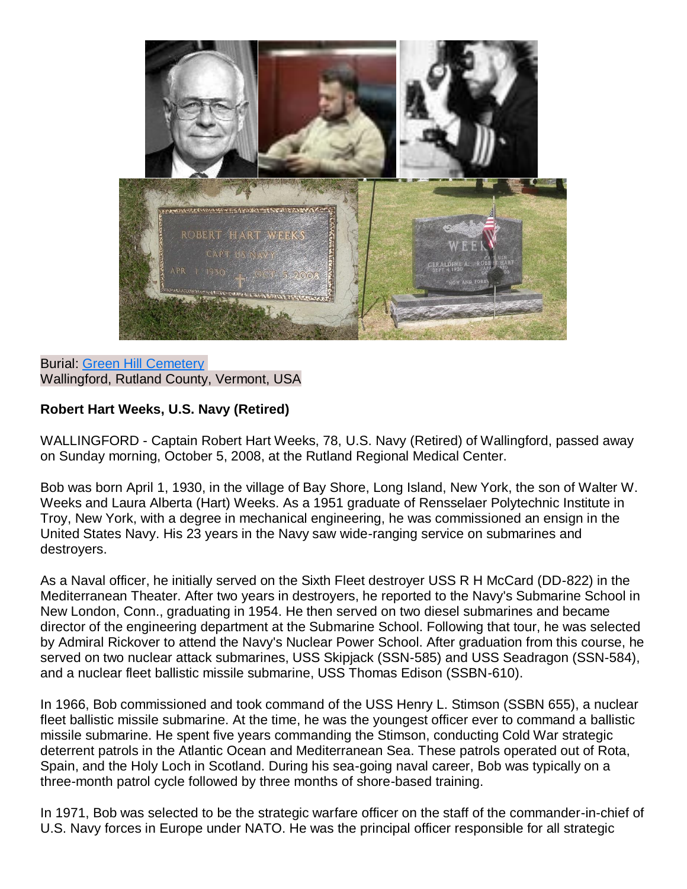

Burial: [Green Hill Cemetery](http://findagrave.com/cgi-bin/fg.cgi?page=cr&GRid=146631383&CRid=1972542&) Wallingford, Rutland County, Vermont, USA

## **Robert Hart Weeks, U.S. Navy (Retired)**

WALLINGFORD - Captain Robert Hart Weeks, 78, U.S. Navy (Retired) of Wallingford, passed away on Sunday morning, October 5, 2008, at the Rutland Regional Medical Center.

Bob was born April 1, 1930, in the village of Bay Shore, Long Island, New York, the son of Walter W. Weeks and Laura Alberta (Hart) Weeks. As a 1951 graduate of Rensselaer Polytechnic Institute in Troy, New York, with a degree in mechanical engineering, he was commissioned an ensign in the United States Navy. His 23 years in the Navy saw wide-ranging service on submarines and destroyers.

As a Naval officer, he initially served on the Sixth Fleet destroyer USS R H McCard (DD-822) in the Mediterranean Theater. After two years in destroyers, he reported to the Navy's Submarine School in New London, Conn., graduating in 1954. He then served on two diesel submarines and became director of the engineering department at the Submarine School. Following that tour, he was selected by Admiral Rickover to attend the Navy's Nuclear Power School. After graduation from this course, he served on two nuclear attack submarines, USS Skipjack (SSN-585) and USS Seadragon (SSN-584), and a nuclear fleet ballistic missile submarine, USS Thomas Edison (SSBN-610).

In 1966, Bob commissioned and took command of the USS Henry L. Stimson (SSBN 655), a nuclear fleet ballistic missile submarine. At the time, he was the youngest officer ever to command a ballistic missile submarine. He spent five years commanding the Stimson, conducting Cold War strategic deterrent patrols in the Atlantic Ocean and Mediterranean Sea. These patrols operated out of Rota, Spain, and the Holy Loch in Scotland. During his sea-going naval career, Bob was typically on a three-month patrol cycle followed by three months of shore-based training.

In 1971, Bob was selected to be the strategic warfare officer on the staff of the commander-in-chief of U.S. Navy forces in Europe under NATO. He was the principal officer responsible for all strategic